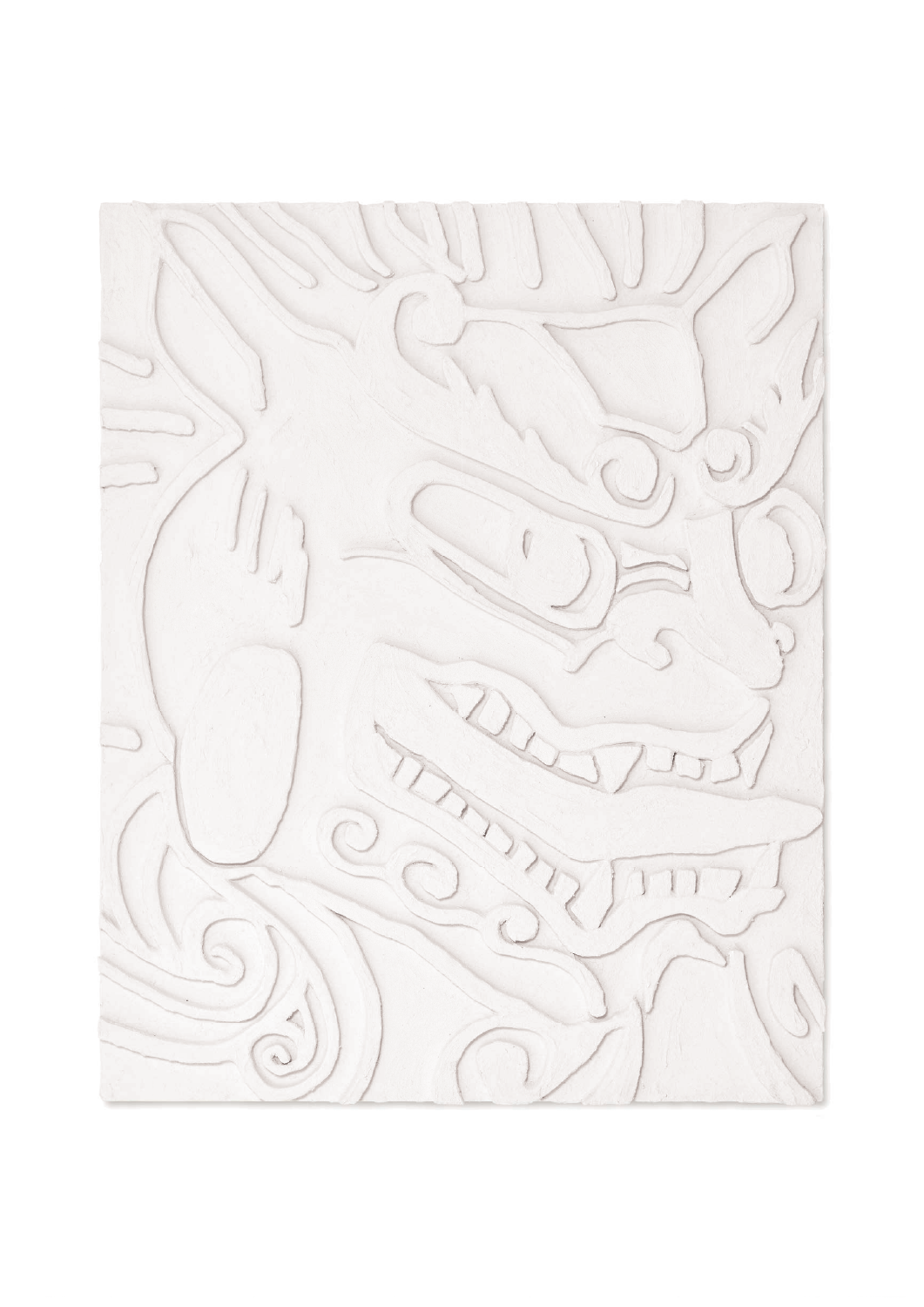